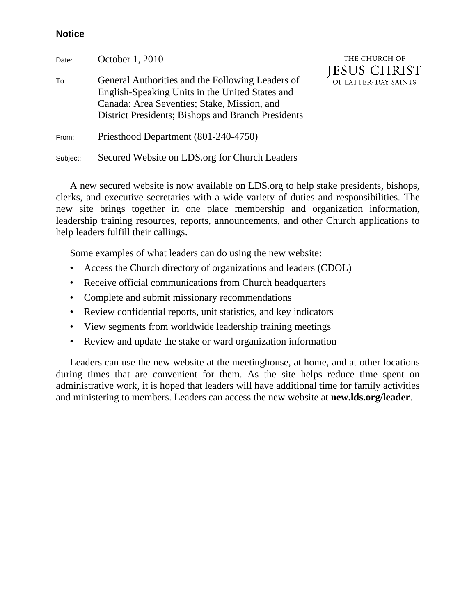## **Notice**

| Date:    | October 1, 2010                                                                                                                                                                                          | THE CHURCH OF<br><b>JESUS CHRIST</b> |
|----------|----------------------------------------------------------------------------------------------------------------------------------------------------------------------------------------------------------|--------------------------------------|
| To:      | General Authorities and the Following Leaders of<br>English-Speaking Units in the United States and<br>Canada: Area Seventies; Stake, Mission, and<br>District Presidents; Bishops and Branch Presidents | OF LATTER-DAY SAINTS                 |
| From:    | Priesthood Department (801-240-4750)                                                                                                                                                                     |                                      |
| Subject: | Secured Website on LDS.org for Church Leaders                                                                                                                                                            |                                      |

A new secured website is now available on LDS.org to help stake presidents, bishops, clerks, and executive secretaries with a wide variety of duties and responsibilities. The new site brings together in one place membership and organization information, leadership training resources, reports, announcements, and other Church applications to help leaders fulfill their callings.

Some examples of what leaders can do using the new website:

- Access the Church directory of organizations and leaders (CDOL)
- Receive official communications from Church headquarters
- Complete and submit missionary recommendations
- Review confidential reports, unit statistics, and key indicators
- View segments from worldwide leadership training meetings
- Review and update the stake or ward organization information

Leaders can use the new website at the meetinghouse, at home, and at other locations during times that are convenient for them. As the site helps reduce time spent on administrative work, it is hoped that leaders will have additional time for family activities and ministering to members. Leaders can access the new website at **new.lds.org/leader**.